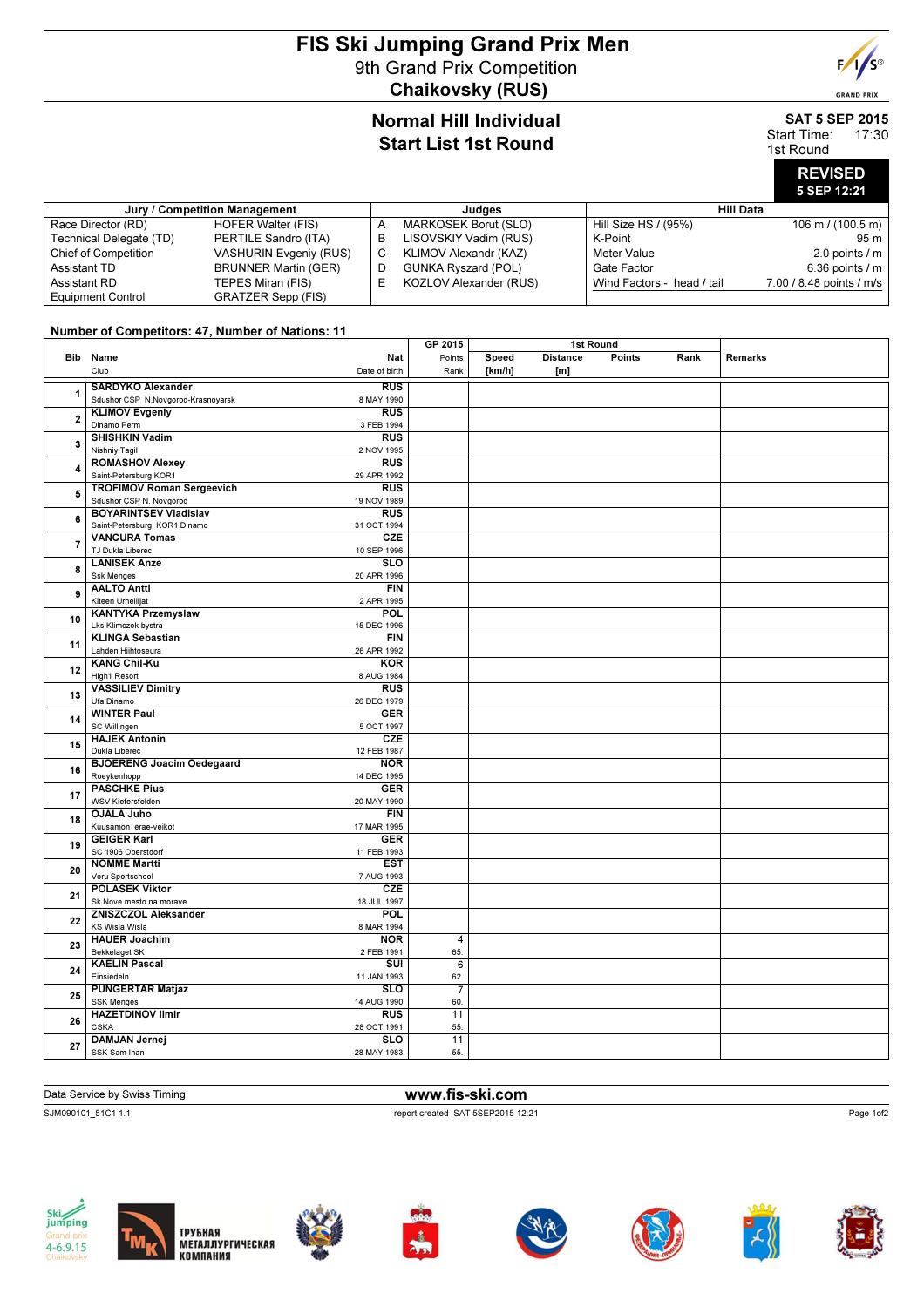## FIS Ski Jumping Grand Prix Men 9th Grand Prix Competition Chaikovsky (RUS)



#### SAT 5 SEP 2015 Start Time: 17:30

 $F/I/S^{\circledcirc}$ 

**GRAND PRIX** 

1st Round

# REVISED 5 SEP 12:21

| Jury / Competition Management |                               | Judaes |                            | Hill Data                  |                             |  |
|-------------------------------|-------------------------------|--------|----------------------------|----------------------------|-----------------------------|--|
| Race Director (RD)            | HOFER Walter (FIS)            | A      | MARKOSEK Borut (SLO)       | Hill Size HS / (95%)       | $106 \text{ m}$ / (100.5 m) |  |
| Technical Delegate (TD)       | PERTILE Sandro (ITA)          | B      | LISOVSKIY Vadim (RUS)      | K-Point                    | 95 m                        |  |
| <b>Chief of Competition</b>   | <b>VASHURIN Evgeniy (RUS)</b> | C      | KLIMOV Alexandr (KAZ)      | Meter Value                | 2.0 points $/m$             |  |
| Assistant TD                  | <b>BRUNNER Martin (GER)</b>   | D      | <b>GUNKA Ryszard (POL)</b> | Gate Factor                | 6.36 points $/m$            |  |
| Assistant RD                  | TEPES Miran (FIS)             | ь.     | KOZLOV Alexander (RUS)     | Wind Factors - head / tail | 7.00 / 8.48 points / m/s    |  |
| <b>Equipment Control</b>      | <b>GRATZER Sepp (FIS)</b>     |        |                            |                            |                             |  |

#### Number of Competitors: 47, Number of Nations: 11

|                         |                                    | GP 2015<br>1st Round    |                 |        |                 |        |      |                |
|-------------------------|------------------------------------|-------------------------|-----------------|--------|-----------------|--------|------|----------------|
|                         | Bib Name                           | Nat                     | Points          | Speed  | <b>Distance</b> | Points | Rank | <b>Remarks</b> |
|                         | Club                               | Date of birth           | Rank            | [km/h] | [m]             |        |      |                |
|                         |                                    |                         |                 |        |                 |        |      |                |
| 1                       | <b>SARDYKO Alexander</b>           | RUS                     |                 |        |                 |        |      |                |
|                         | Sdushor CSP N.Novgorod-Krasnoyarsk | 8 MAY 1990              |                 |        |                 |        |      |                |
| $\overline{\mathbf{2}}$ | <b>KLIMOV Evgeniy</b>              | <b>RUS</b>              |                 |        |                 |        |      |                |
|                         | Dinamo Perm                        | 3 FEB 1994              |                 |        |                 |        |      |                |
| 3                       | <b>SHISHKIN Vadim</b>              | RUS                     |                 |        |                 |        |      |                |
|                         | Nishniy Tagil                      | 2 NOV 1995              |                 |        |                 |        |      |                |
| 4                       | <b>ROMASHOV Alexey</b>             | <b>RUS</b>              |                 |        |                 |        |      |                |
|                         | Saint-Petersburg KOR1              | 29 APR 1992             |                 |        |                 |        |      |                |
| 5                       | <b>TROFIMOV Roman Sergeevich</b>   | <b>RUS</b>              |                 |        |                 |        |      |                |
|                         | Sdushor CSP N. Novgorod            | 19 NOV 1989             |                 |        |                 |        |      |                |
| 6                       | <b>BOYARINTSEV Vladislav</b>       | <b>RUS</b>              |                 |        |                 |        |      |                |
|                         | Saint-Petersburg KOR1 Dinamo       | 31 OCT 1994             |                 |        |                 |        |      |                |
| 7                       | <b>VANCURA Tomas</b>               | CZE                     |                 |        |                 |        |      |                |
|                         | TJ Dukla Liberec                   | 10 SEP 1996             |                 |        |                 |        |      |                |
| 8                       | <b>LANISEK Anze</b>                | $\overline{\text{SLO}}$ |                 |        |                 |        |      |                |
|                         | <b>Ssk Menges</b>                  | 20 APR 1996             |                 |        |                 |        |      |                |
| 9                       | <b>AALTO Antti</b>                 | <b>FIN</b>              |                 |        |                 |        |      |                |
|                         | Kiteen Urheilijat                  | 2 APR 1995              |                 |        |                 |        |      |                |
|                         | <b>KANTYKA Przemyslaw</b>          | POL                     |                 |        |                 |        |      |                |
| 10                      | Lks Klimczok bystra                | 15 DEC 1996             |                 |        |                 |        |      |                |
|                         | <b>KLINGA Sebastian</b>            | <b>FIN</b>              |                 |        |                 |        |      |                |
| 11                      | Lahden Hiihtoseura                 | 26 APR 1992             |                 |        |                 |        |      |                |
|                         | <b>KANG Chil-Ku</b>                | <b>KOR</b>              |                 |        |                 |        |      |                |
| 12                      | High1 Resort                       | 8 AUG 1984              |                 |        |                 |        |      |                |
|                         | <b>VASSILIEV Dimitry</b>           | $\overline{RUS}$        |                 |        |                 |        |      |                |
| 13                      | Ufa Dinamo                         | 26 DEC 1979             |                 |        |                 |        |      |                |
|                         | <b>WINTER Paul</b>                 | <b>GER</b>              |                 |        |                 |        |      |                |
| 14                      | SC Willingen                       | 5 OCT 1997              |                 |        |                 |        |      |                |
| 15                      | <b>HAJEK Antonin</b>               | CZE                     |                 |        |                 |        |      |                |
|                         | Dukla Liberec                      | 12 FEB 1987             |                 |        |                 |        |      |                |
| 16                      | <b>BJOERENG Joacim Oedegaard</b>   | <b>NOR</b>              |                 |        |                 |        |      |                |
|                         | Roeykenhopp                        | 14 DEC 1995             |                 |        |                 |        |      |                |
| 17                      | <b>PASCHKE Pius</b>                | <b>GER</b>              |                 |        |                 |        |      |                |
|                         | WSV Kiefersfelden                  | 20 MAY 1990             |                 |        |                 |        |      |                |
| 18                      | <b>OJALA Juho</b>                  | <b>FIN</b>              |                 |        |                 |        |      |                |
|                         | Kuusamon erae-veikot               | 17 MAR 1995             |                 |        |                 |        |      |                |
|                         | <b>GEIGER Karl</b>                 | <b>GER</b>              |                 |        |                 |        |      |                |
| 19                      | SC 1906 Oberstdorf                 | 11 FEB 1993             |                 |        |                 |        |      |                |
| 20                      | <b>NOMME Martti</b>                | <b>EST</b>              |                 |        |                 |        |      |                |
|                         | Voru Sportschool                   | 7 AUG 1993              |                 |        |                 |        |      |                |
| 21                      | <b>POLASEK Viktor</b>              | CZE                     |                 |        |                 |        |      |                |
|                         | Sk Nove mesto na morave            | 18 JUL 1997             |                 |        |                 |        |      |                |
|                         | <b>ZNISZCZOL Aleksander</b>        | POL                     |                 |        |                 |        |      |                |
| 22                      | KS Wisla Wisla                     | 8 MAR 1994              |                 |        |                 |        |      |                |
| 23                      | <b>HAUER Joachim</b>               | <b>NOR</b>              | $\overline{4}$  |        |                 |        |      |                |
|                         | <b>Bekkelaget SK</b>               | 2 FEB 1991              | 65.             |        |                 |        |      |                |
| 24                      | <b>KAELIN Pascal</b>               | $\overline{\text{su}}$  | 6               |        |                 |        |      |                |
|                         | Einsiedeln                         | 11 JAN 1993             | 62.             |        |                 |        |      |                |
| 25                      | <b>PUNGERTAR Matjaz</b>            | SLO                     | $\overline{7}$  |        |                 |        |      |                |
|                         | <b>SSK Menges</b>                  | 14 AUG 1990             | 60.             |        |                 |        |      |                |
| 26                      | <b>HAZETDINOV Ilmir</b>            | <b>RUS</b>              | $\overline{11}$ |        |                 |        |      |                |
|                         | <b>CSKA</b>                        | 28 OCT 1991             | 55.             |        |                 |        |      |                |
| 27                      | <b>DAMJAN Jernej</b>               | <b>SLO</b>              | 11              |        |                 |        |      |                |
|                         | SSK Sam Ihan                       | 28 MAY 1983             | 55.             |        |                 |        |      |                |
|                         |                                    |                         |                 |        |                 |        |      |                |

#### Data Service by Swiss Timing **www.fis-ski.com**

SJM090101\_51C1 1.1 report created SAT 5SEP2015 12:21